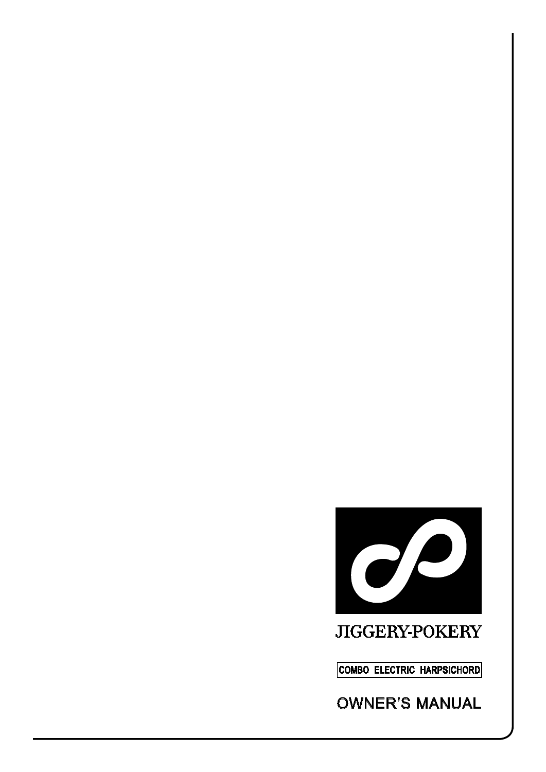

# JIGGERY-POKERY

**COMBO ELECTRIC HARPSICHORD**

OWNER'S MANUAL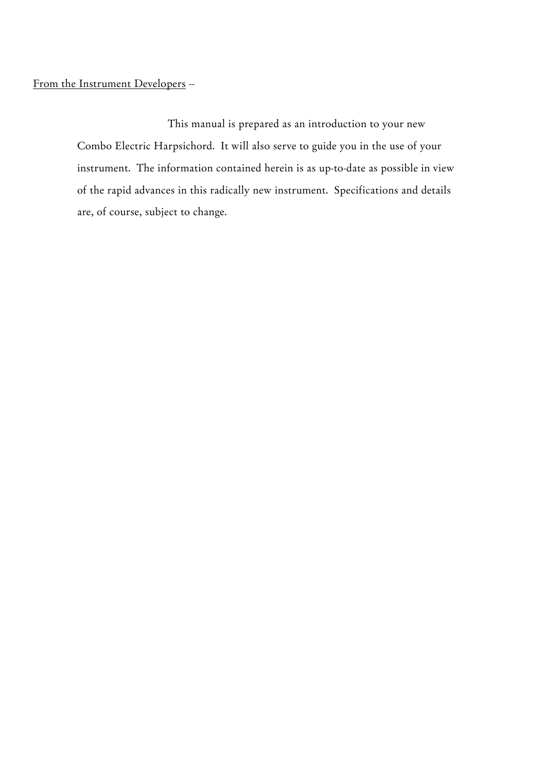# From the Instrument Developers --

 This manual is prepared as an introduction to your new Combo Electric Harpsichord. It will also serve to guide you in the use of your instrument. The information contained herein is as up-to-date as possible in view of the rapid advances in this radically new instrument. Specifications and details are, of course, subject to change.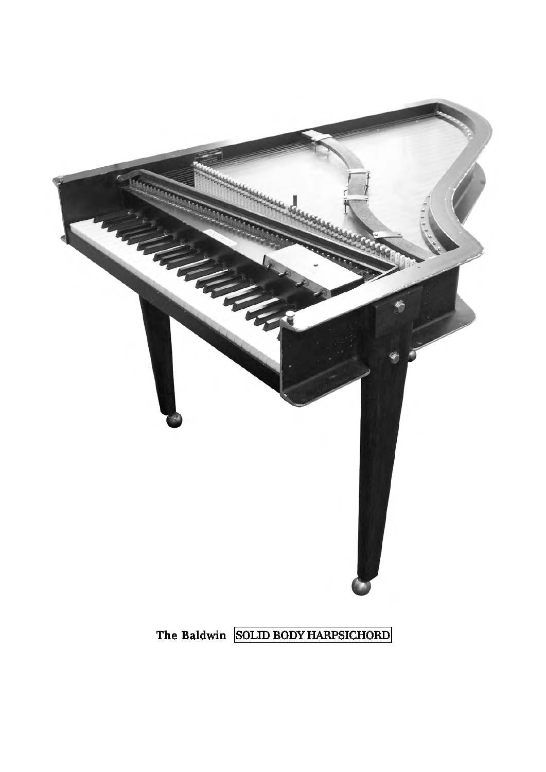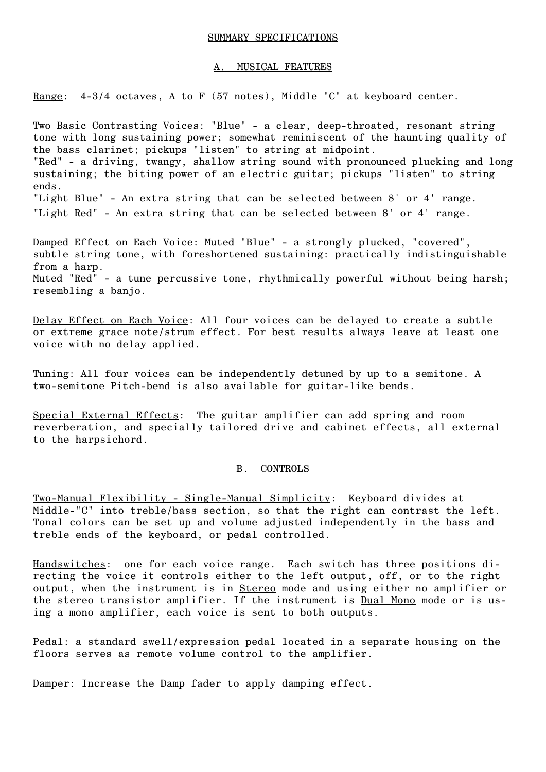### SUMMARY SPECIFICATIONS

## A. MUSICAL FEATURES

Range: 4-3/4 octaves, A to F (57 notes), Middle "C" at keyboard center.

Two Basic Contrasting Voices: "Blue" - a clear, deep-throated, resonant string tone with long sustaining power; somewhat reminiscent of the haunting quality of the bass clarinet; pickups "listen" to string at midpoint. "Red" - a driving, twangy, shallow string sound with pronounced plucking and long sustaining; the biting power of an electric guitar; pickups "listen" to string ends. "Light Blue" - An extra string that can be selected between 8' or 4' range. "Light Red" - An extra string that can be selected between 8' or 4' range.

Damped Effect on Each Voice: Muted "Blue" - a strongly plucked, "covered", subtle string tone, with foreshortened sustaining: practically indistinguishable from a harp. Muted "Red" - a tune percussive tone, rhythmically powerful without being harsh; resembling a banjo.

Delay Effect on Each Voice: All four voices can be delayed to create a subtle or extreme grace note/strum effect. For best results always leave at least one voice with no delay applied.

Tuning: All four voices can be independently detuned by up to a semitone. A two-semitone Pitch-bend is also available for guitar-like bends.

Special External Effects: The guitar amplifier can add spring and room reverberation, and specially tailored drive and cabinet effects, all external to the harpsichord.

# B. CONTROLS

Two-Manual Flexibility - Single-Manual Simplicity: Keyboard divides at Middle-"C" into treble/bass section, so that the right can contrast the left. Tonal colors can be set up and volume adjusted independently in the bass and treble ends of the keyboard, or pedal controlled.

Handswitches: one for each voice range. Each switch has three positions directing the voice it controls either to the left output, off, or to the right output, when the instrument is in Stereo mode and using either no amplifier or the stereo transistor amplifier. If the instrument is **Dual Mono** mode or is using a mono amplifier, each voice is sent to both outputs.

Pedal: a standard swell/expression pedal located in a separate housing on the floors serves as remote volume control to the amplifier.

Damper: Increase the Damp fader to apply damping effect.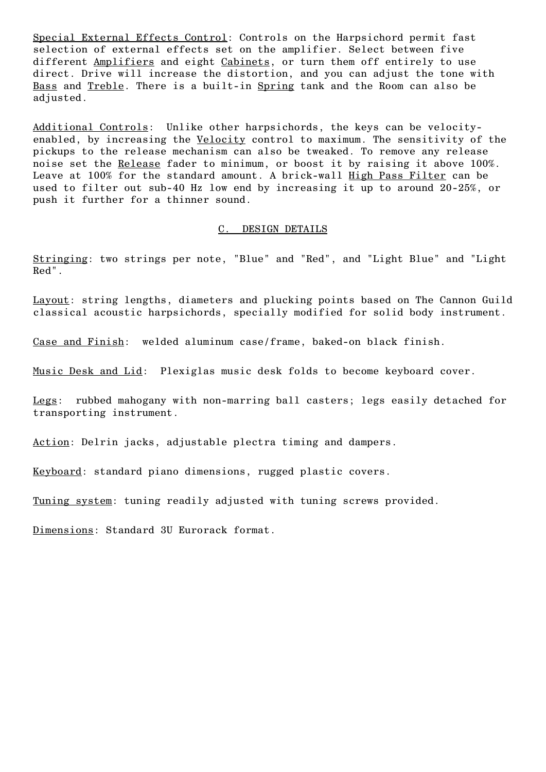Special External Effects Control: Controls on the Harpsichord permit fast selection of external effects set on the amplifier. Select between five different Amplifiers and eight Cabinets, or turn them off entirely to use direct. Drive will increase the distortion, and you can adjust the tone with Bass and Treble. There is a built-in Spring tank and the Room can also be adjusted.

Additional Controls: Unlike other harpsichords, the keys can be velocityenabled, by increasing the Velocity control to maximum. The sensitivity of the pickups to the release mechanism can also be tweaked. To remove any release noise set the Release fader to minimum, or boost it by raising it above 100%. Leave at 100% for the standard amount. A brick-wall High Pass Filter can be used to filter out sub-40 Hz low end by increasing it up to around 20-25%, or push it further for a thinner sound.

#### C. DESIGN DETAILS

Stringing: two strings per note, "Blue" and "Red", and "Light Blue" and "Light Red".

Layout: string lengths, diameters and plucking points based on The Cannon Guild classical acoustic harpsichords, specially modified for solid body instrument.

Case and Finish: welded aluminum case/frame, baked-on black finish.

Music Desk and Lid: Plexiglas music desk folds to become keyboard cover.

Legs: rubbed mahogany with non-marring ball casters; legs easily detached for transporting instrument.

Action: Delrin jacks, adjustable plectra timing and dampers.

Keyboard: standard piano dimensions, rugged plastic covers.

Tuning system: tuning readily adjusted with tuning screws provided.

Dimensions: Standard 3U Eurorack format.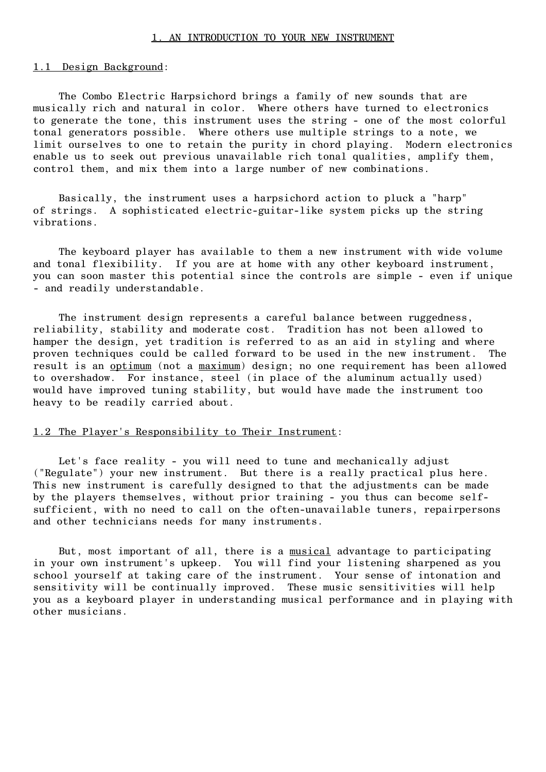#### 1. AN INTRODUCTION TO YOUR NEW INSTRUMENT

## 1.1 Design Background:

The Combo Electric Harpsichord brings a family of new sounds that are musically rich and natural in color. Where others have turned to electronics to generate the tone, this instrument uses the string - one of the most colorful tonal generators possible. Where others use multiple strings to a note, we limit ourselves to one to retain the purity in chord playing. Modern electronics enable us to seek out previous unavailable rich tonal qualities, amplify them, control them, and mix them into a large number of new combinations.

Basically, the instrument uses a harpsichord action to pluck a "harp" of strings. A sophisticated electric-guitar-like system picks up the string vibrations.

The keyboard player has available to them a new instrument with wide volume and tonal flexibility. If you are at home with any other keyboard instrument, you can soon master this potential since the controls are simple - even if unique - and readily understandable.

The instrument design represents a careful balance between ruggedness, reliability, stability and moderate cost. Tradition has not been allowed to hamper the design, yet tradition is referred to as an aid in styling and where proven techniques could be called forward to be used in the new instrument. The result is an optimum (not a maximum) design; no one requirement has been allowed to overshadow. For instance, steel (in place of the aluminum actually used) would have improved tuning stability, but would have made the instrument too heavy to be readily carried about.

## 1.2 The Player's Responsibility to Their Instrument:

Let's face reality - you will need to tune and mechanically adjust ("Regulate") your new instrument. But there is a really practical plus here. This new instrument is carefully designed to that the adjustments can be made by the players themselves, without prior training - you thus can become selfsufficient, with no need to call on the often-unavailable tuners, repairpersons and other technicians needs for many instruments.

But, most important of all, there is a musical advantage to participating in your own instrument's upkeep. You will find your listening sharpened as you school yourself at taking care of the instrument. Your sense of intonation and sensitivity will be continually improved. These music sensitivities will help you as a keyboard player in understanding musical performance and in playing with other musicians.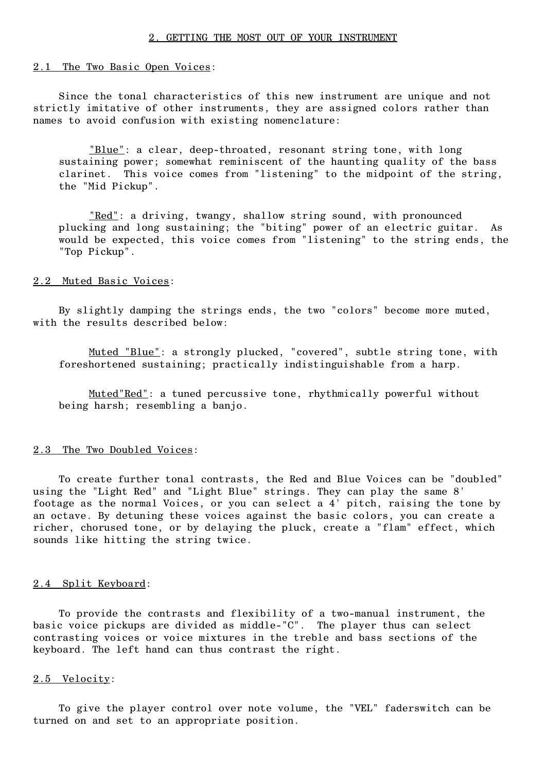### 2.1 The Two Basic Open Voices:

Since the tonal characteristics of this new instrument are unique and not strictly imitative of other instruments, they are assigned colors rather than names to avoid confusion with existing nomenclature:

"Blue": a clear, deep-throated, resonant string tone, with long sustaining power; somewhat reminiscent of the haunting quality of the bass clarinet. This voice comes from "listening" to the midpoint of the string, the "Mid Pickup".

 "Red": a driving, twangy, shallow string sound, with pronounced plucking and long sustaining; the "biting" power of an electric guitar. As would be expected, this voice comes from "listening" to the string ends, the "Top Pickup".

#### 2.2 Muted Basic Voices:

By slightly damping the strings ends, the two "colors" become more muted, with the results described below:

 Muted "Blue": a strongly plucked, "covered", subtle string tone, with foreshortened sustaining; practically indistinguishable from a harp.

 Muted"Red": a tuned percussive tone, rhythmically powerful without being harsh; resembling a banjo.

#### 2.3 The Two Doubled Voices:

To create further tonal contrasts, the Red and Blue Voices can be "doubled" using the "Light Red" and "Light Blue" strings. They can play the same 8' footage as the normal Voices, or you can select a 4' pitch, raising the tone by an octave. By detuning these voices against the basic colors, you can create a richer, chorused tone, or by delaying the pluck, create a "flam" effect, which sounds like hitting the string twice.

#### 2.4 Split Keyboard:

To provide the contrasts and flexibility of a two-manual instrument, the basic voice pickups are divided as middle-"C". The player thus can select contrasting voices or voice mixtures in the treble and bass sections of the keyboard. The left hand can thus contrast the right.

#### 2.5 Velocity:

To give the player control over note volume, the "VEL" faderswitch can be turned on and set to an appropriate position.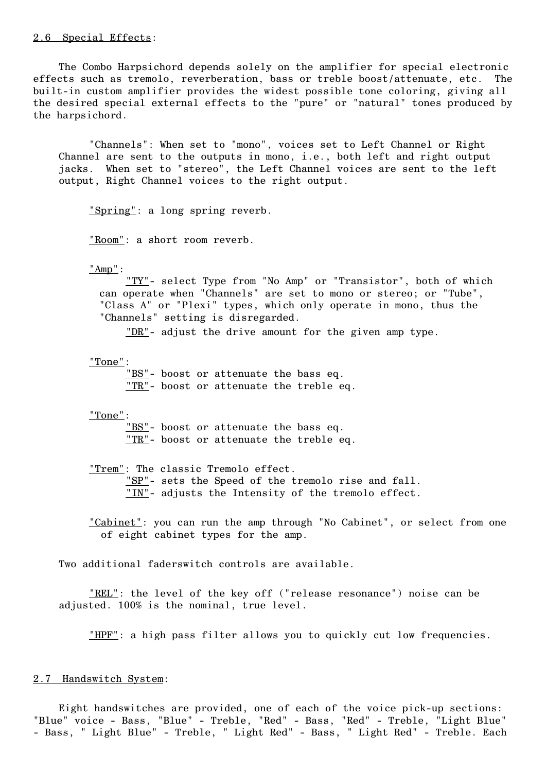## 2.6 Special Effects:

The Combo Harpsichord depends solely on the amplifier for special electronic effects such as tremolo, reverberation, bass or treble boost/attenuate, etc. The built-in custom amplifier provides the widest possible tone coloring, giving all the desired special external effects to the "pure" or "natural" tones produced by the harpsichord.

 "Channels": When set to "mono", voices set to Left Channel or Right Channel are sent to the outputs in mono, i.e., both left and right output jacks. When set to "stereo", the Left Channel voices are sent to the left output, Right Channel voices to the right output.

"Spring": a long spring reverb.

"Room": a short room reverb.

"Amp":

 "TY"- select Type from "No Amp" or "Transistor", both of which can operate when "Channels" are set to mono or stereo; or "Tube", "Class A" or "Plexi" types, which only operate in mono, thus the "Channels" setting is disregarded.

"DR"- adjust the drive amount for the given amp type.

"Tone":

 "BS"- boost or attenuate the bass eq. "TR"- boost or attenuate the treble eq.

"Tone":

 "BS"- boost or attenuate the bass eq. "TR"- boost or attenuate the treble eq.

 "Trem": The classic Tremolo effect. "SP"- sets the Speed of the tremolo rise and fall. "IN"- adjusts the Intensity of the tremolo effect.

"Cabinet": you can run the amp through "No Cabinet", or select from one of eight cabinet types for the amp.

Two additional faderswitch controls are available.

"REL": the level of the key off ("release resonance") noise can be adjusted. 100% is the nominal, true level.

"HPF": a high pass filter allows you to quickly cut low frequencies.

#### 2.7 Handswitch System:

Eight handswitches are provided, one of each of the voice pick-up sections: "Blue" voice - Bass, "Blue" - Treble, "Red" - Bass, "Red" - Treble, "Light Blue" - Bass, " Light Blue" - Treble, " Light Red" - Bass, " Light Red" - Treble. Each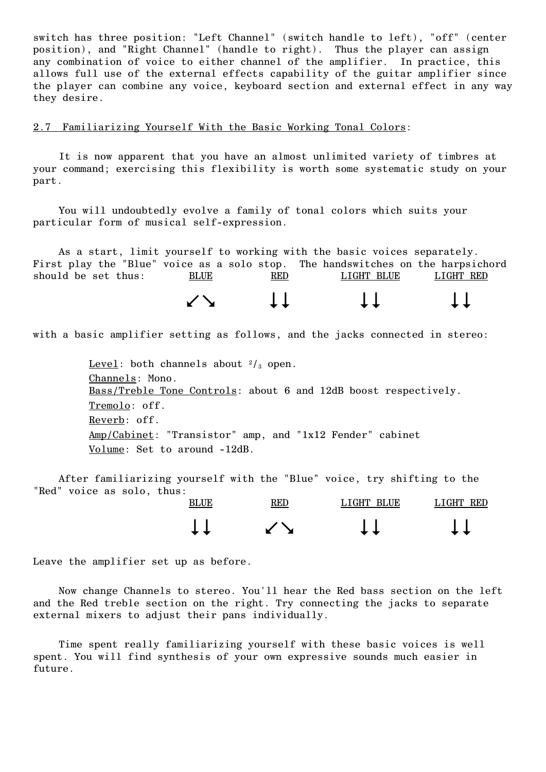switch has three position: "Left Channel" (switch handle to left), "off" (center position), and "Right Channel" (handle to right). Thus the player can assign any combination of voice to either channel of the amplifier. In practice, this allows full use of the external effects capability of the guitar amplifier since the player can combine any voice, keyboard section and external effect in any way they desire.

# 2.7 Familiarizing Yourself With the Basic Working Tonal Colors:

It is now apparent that you have an almost unlimited variety of timbres at your command; exercising this flexibility is worth some systematic study on your part.

You will undoubtedly evolve a family of tonal colors which suits your particular form of musical self-expression.

As a start, limit yourself to working with the basic voices separately. First play the "Blue" voice as a solo stop. The handswitches on the harpsichord should be set thus: BLUE RED LIGHT BLUE LIGHT RED

with a basic amplifier setting as follows, and the jacks connected in stereo:

 $\begin{matrix} 1 & 1 & 1 \\ 1 & 1 & 1 \\ 1 & 1 & 1 \end{matrix}$ 

Level: both channels about  $\frac{2}{3}$  open. Channels: Mono. Bass/Treble Tone Controls: about 6 and 12dB boost respectively. Tremolo: off. Reverb: off. Amp/Cabinet: "Transistor" amp, and "1x12 Fender" cabinet Volume: Set to around -12dB.

After familiarizing yourself with the "Blue" voice, try shifting to the "Red" voice as solo, thus:

| <b>BLUE</b> | <b>RED</b>                                           | <b>TGHT</b><br><b>BLUE</b> | <b>TGHT</b><br><b>RED</b> |
|-------------|------------------------------------------------------|----------------------------|---------------------------|
|             | $\overline{\phantom{0}}$<br>$\overline{\phantom{0}}$ |                            |                           |

Leave the amplifier set up as before.

Now change Channels to stereo. You'll hear the Red bass section on the left and the Red treble section on the right. Try connecting the jacks to separate external mixers to adjust their pans individually.

Time spent really familiarizing yourself with these basic voices is well spent. You will find synthesis of your own expressive sounds much easier in future.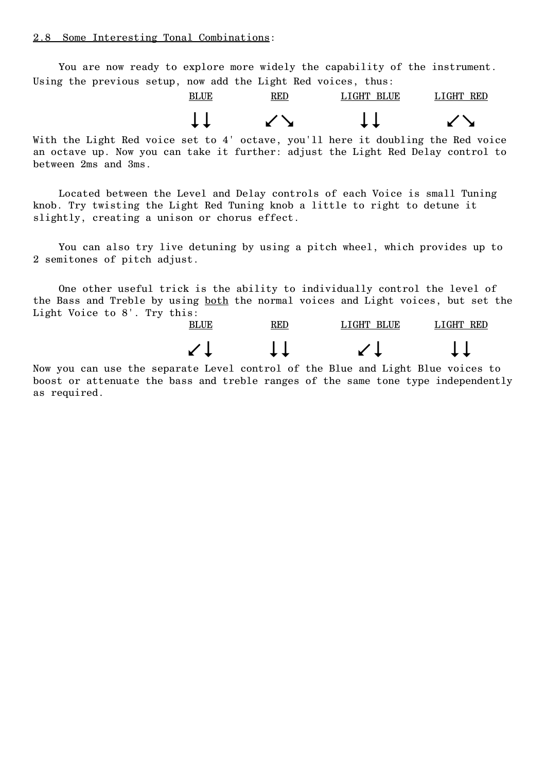You are now ready to explore more widely the capability of the instrument. Using the previous setup, now add the Light Red voices, thus:

BLUE RED LIGHT BLUE LIGHT RED  $\downarrow\downarrow$   $\qquad \qquad \downarrow\downarrow$   $\qquad \qquad \downarrow\downarrow$ 

With the Light Red voice set to 4' octave, you'll here it doubling the Red voice an octave up. Now you can take it further: adjust the Light Red Delay control to between 2ms and 3ms.

Located between the Level and Delay controls of each Voice is small Tuning knob. Try twisting the Light Red Tuning knob a little to right to detune it slightly, creating a unison or chorus effect.

You can also try live detuning by using a pitch wheel, which provides up to 2 semitones of pitch adjust.

One other useful trick is the ability to individually control the level of the Bass and Treble by using both the normal voices and Light voices, but set the Light Voice to 8'. Try this:



Now you can use the separate Level control of the Blue and Light Blue voices to boost or attenuate the bass and treble ranges of the same tone type independently as required.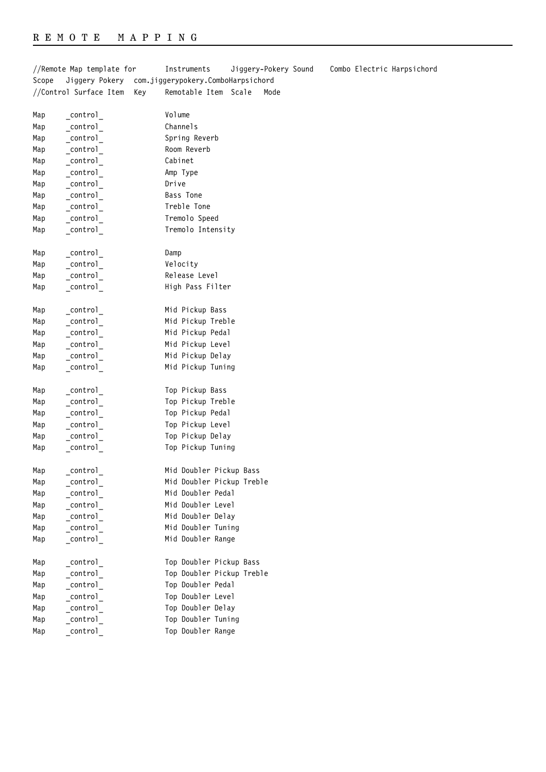Map control Control Top Doubler Range

//Remote Map template for Instruments Jiggery-Pokery Sound Combo Electric Harpsichord Scope Jiggery Pokery com.jiggerypokery.ComboHarpsichord //Control Surface Item Key Remotable Item Scale Mode Map control Volume Map control Channels Map \_control\_ Spring Reverb Map \_control\_ Room Reverb Map control Cabinet Map \_control\_ Amp Type Map control Drive Map \_control\_ Bass Tone Map control **Treble Tone** Map control Tremolo Speed Map control **Tremolo Intensity** Map \_control\_ Damp Map control **Velocity** Map control **Release Level** Map control **High Pass Filter** Map control Mid Pickup Bass Map control Mid Pickup Treble Map control Mid Pickup Pedal Map \_control\_ Mid Pickup Level Map \_control\_ Mid Pickup Delay Map control Mid Pickup Tuning Map control **Top Pickup Bass** Map control **Top Pickup Treble** Map control Top Pickup Pedal Map control **Top Pickup Level** Map control **Top Pickup Delay** Map control Top Pickup Tuning Map control Mid Doubler Pickup Bass Map control Mid Doubler Pickup Treble Map \_control\_ Mid Doubler Pedal Map \_control\_ Mid Doubler Level Map control Mid Doubler Delay Map control Mid Doubler Tuning Map control Mid Doubler Range Map \_control\_ Top Doubler Pickup Bass Map control **Top Doubler Pickup Treble** Map \_control\_ Top Doubler Pedal Map \_control\_ Top Doubler Level Map control **Top Doubler Delay** Map control **Top Doubler Tuning**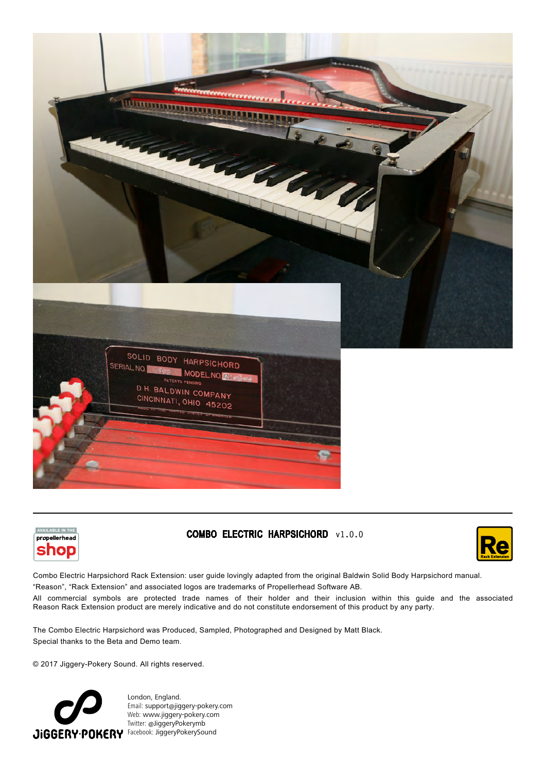





# **COMBO ELECTRIC HARPSICHORD** v1.0.0



Combo Electric Harpsichord Rack Extension: user guide lovingly adapted from the original Baldwin Solid Body Harpsichord manual.

"Reason", "Rack Extension" and associated logos are trademarks of Propellerhead Software AB.

All commercial symbols are protected trade names of their holder and their inclusion within this guide and the associated Reason Rack Extension product are merely indicative and do not constitute endorsement of this product by any party.

The Combo Electric Harpsichord was Produced, Sampled, Photographed and Designed by Matt Black. Special thanks to the Beta and Demo team.

© 2017 Jiggery-Pokery Sound. All rights reserved.



London, England. Email: suppor[t@](mailto:contact%40pitchblende.co.nz?subject=)jiggery-pokery.com Web: [www.](http://www.pitchblende.co.nz)jiggery-pokery.com Twitter: @JiggeryPokerymb